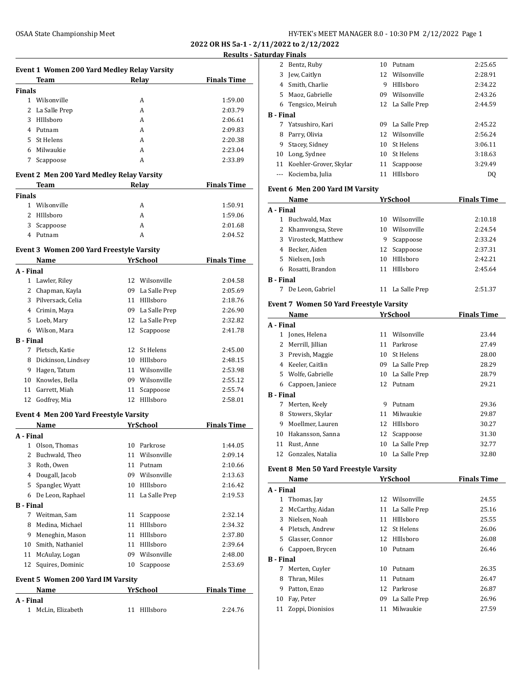**2022 OR HS 5a-1 - 2/11/2022 to 2/12/2022**

# **Results - Saturday Finals**

|                  |                                                         |    |                               | 2022 OR HS 5a-1 - 2 |
|------------------|---------------------------------------------------------|----|-------------------------------|---------------------|
|                  |                                                         |    |                               | Results - :         |
|                  | Event 1 Women 200 Yard Medley Relay Varsity             |    |                               |                     |
|                  | Team                                                    |    | Relay                         | <b>Finals Time</b>  |
| <b>Finals</b>    | 1 Wilsonville                                           |    | A                             | 1:59.00             |
| 2                | La Salle Prep                                           |    | A                             | 2:03.79             |
| 3                | HIllsboro                                               |    | A                             | 2:06.61             |
| 4                | Putnam                                                  |    | A                             | 2:09.83             |
|                  | 5 St Helens                                             |    | A                             | 2:20.38             |
| 6                | Milwaukie                                               |    | A                             | 2:23.04             |
| 7                | Scappoose                                               |    | A                             | 2:33.89             |
|                  | Event 2 Men 200 Yard Medley Relay Varsity               |    |                               |                     |
|                  | Team                                                    |    | Relay                         | <b>Finals Time</b>  |
| Finals           |                                                         |    |                               |                     |
|                  | 1 Wilsonville                                           |    | A                             | 1:50.91             |
|                  | 2 HIllshoro                                             |    | A                             | 1:59.06             |
| 3                | Scappoose                                               |    | A                             | 2:01.68             |
|                  | 4 Putnam                                                |    | A                             | 2:04.52             |
|                  | <b>Event 3 Women 200 Yard Freestyle Varsity</b><br>Name |    | <b>YrSchool</b>               | <b>Finals Time</b>  |
| A - Final        |                                                         |    |                               |                     |
| 1                | Lawler, Riley                                           |    | 12 Wilsonville                | 2:04.58             |
|                  | 2 Chapman, Kayla                                        |    | 09 La Salle Prep              | 2:05.69             |
|                  | 3 Pilversack, Celia                                     |    | 11 HIllsboro                  | 2:18.76             |
|                  | 4 Crimin, Maya                                          |    | 09 La Salle Prep              | 2:26.90             |
|                  | 5 Loeb, Mary                                            |    | 12 La Salle Prep              | 2:32.82             |
|                  | 6 Wilson, Mara                                          |    | 12 Scappoose                  | 2:41.78             |
| <b>B</b> - Final |                                                         |    |                               |                     |
|                  | 7 Pletsch, Katie                                        |    | 12 St Helens                  | 2:45.00             |
| 8                | Dickinson, Lindsey                                      |    | 10 HIllsboro                  | 2:48.15             |
| 9                | Hagen, Tatum                                            |    | 11 Wilsonville                | 2:53.98             |
|                  | 10 Knowles, Bella                                       |    | 09 Wilsonville                | 2:55.12             |
| 11               | Garrett, Miah                                           | 11 | Scappoose                     | 2:55.74             |
| 12               | Godfrey, Mia                                            |    | 12 HIllsboro                  | 2:58.01             |
|                  | Event 4 Men 200 Yard Freestyle Varsity                  |    |                               |                     |
|                  | Name                                                    |    | <b>YrSchool</b>               | <b>Finals Time</b>  |
| A - Final        |                                                         |    |                               |                     |
| $\overline{2}$   | 1 Olson, Thomas<br>Buchwald, Theo                       |    | 10 Parkrose<br>11 Wilsonville | 1:44.05<br>2:09.14  |
|                  | 3 Roth, Owen                                            |    | 11 Putnam                     | 2:10.66             |
|                  | 4 Dougall, Jacob                                        |    | 09 Wilsonville                | 2:13.63             |
|                  | 5 Spangler, Wyatt                                       |    | 10 HIllsboro                  | 2:16.42             |
|                  | 6 De Leon, Raphael                                      |    | 11 La Salle Prep              | 2:19.53             |
| <b>B</b> - Final |                                                         |    |                               |                     |
|                  | 7 Weitman, Sam                                          |    | 11 Scappoose                  | 2:32.14             |
| 8                | Medina, Michael                                         |    | 11 HIllsboro                  | 2:34.32             |
|                  | 9 Meneghin, Mason                                       |    | 11 HIllsboro                  | 2:37.80             |
|                  | 10 Smith, Nathaniel                                     |    | 11 HIllsboro                  | 2:39.64             |
| 11               | McAulay, Logan                                          |    | 09 Wilsonville                | 2:48.00             |
| 12               | Squires, Dominic                                        |    | 10 Scappoose                  | 2:53.69             |
|                  | <b>Event 5 Women 200 Yard IM Varsity</b>                |    |                               |                     |
|                  | Name                                                    |    | <b>YrSchool</b>               | <b>Finals Time</b>  |
| A - Final        | 1 McLin, Elizabeth                                      |    | 11 HIllsboro                  |                     |
|                  |                                                         |    |                               | 2:24.76             |

|                  | 2 Bentz, Ruby                                |    | 10 Putnam        | 2:25.65            |
|------------------|----------------------------------------------|----|------------------|--------------------|
|                  | 3 Jew, Caitlyn                               |    | 12 Wilsonville   | 2:28.91            |
|                  | 4 Smith, Charlie                             |    | 9 HIllsboro      | 2:34.22            |
|                  | 5 Maoz, Gabrielle                            |    | 09 Wilsonville   | 2:43.26            |
|                  | 6 Tengsico, Meiruh                           |    | 12 La Salle Prep | 2:44.59            |
| <b>B</b> - Final |                                              |    |                  |                    |
|                  | 7 Yatsushiro, Kari                           |    | 09 La Salle Prep | 2:45.22            |
| 8                | Parry, Olivia                                |    | 12 Wilsonville   | 2:56.24            |
| 9.               | Stacey, Sidney                               |    | 10 St Helens     | 3:06.11            |
|                  | 10 Long, Sydnee                              |    | 10 St Helens     | 3:18.63            |
|                  | 11 Koehler-Grover, Skylar                    | 11 | Scappoose        | 3:29.49            |
|                  | --- Kociemba, Julia                          |    | 11 HIllsboro     | DQ                 |
|                  |                                              |    |                  |                    |
|                  | Event 6 Men 200 Yard IM Varsity              |    |                  |                    |
|                  | Name                                         |    | YrSchool         | <b>Finals Time</b> |
| A - Final        |                                              |    |                  |                    |
|                  | 1 Buchwald, Max                              |    | 10 Wilsonville   | 2:10.18            |
|                  | 2 Khamvongsa, Steve                          |    | 10 Wilsonville   | 2:24.54            |
|                  | 3 Virosteck, Matthew                         |    | 9 Scappoose      | 2:33.24            |
|                  | 4 Becker, Aiden                              |    | 12 Scappoose     | 2:37.31            |
|                  | 5 Nielsen, Josh                              |    | 10 HIllsboro     | 2:42.21            |
|                  | 6 Rosatti, Brandon                           |    | 11 Hillsboro     | 2:45.64            |
| <b>B</b> - Final |                                              |    |                  |                    |
|                  | 7 De Leon, Gabriel                           |    | 11 La Salle Prep | 2:51.37            |
|                  | Event 7 Women 50 Yard Freestyle Varsity      |    |                  |                    |
|                  | Name                                         |    | YrSchool         | <b>Finals Time</b> |
| A - Final        |                                              |    |                  |                    |
|                  | 1 Jones, Helena                              |    | 11 Wilsonville   | 23.44              |
|                  | 2 Merrill, Jillian                           |    | 11 Parkrose      | 27.49              |
|                  | 3 Prevish, Maggie                            |    | 10 St Helens     | 28.00              |
|                  | 4 Keeler, Caitlin                            |    | 09 La Salle Prep | 28.29              |
|                  | 5 Wolfe, Gabrielle                           |    | 10 La Salle Prep | 28.79              |
|                  | 6 Cappoen, Janiece                           |    | 12 Putnam        | 29.21              |
| <b>B</b> - Final |                                              |    |                  |                    |
| 7                | Merten, Keely                                |    | 9 Putnam         | 29.36              |
| 8                | Stowers, Skylar                              |    | 11 Milwaukie     | 29.87              |
| 9.               | Moellmer, Lauren                             |    | 12 HIllsboro     | 30.27              |
|                  | 10 Hakansson, Sanna                          |    | 12 Scappoose     | 31.30              |
| 11               | Rust, Anne                                   |    | 10 La Salle Prep | 32.77              |
|                  | 12 Gonzales, Natalia                         |    | 10 La Salle Prep | 32.80              |
|                  |                                              |    |                  |                    |
|                  | <b>Event 8 Men 50 Yard Freestyle Varsity</b> |    |                  |                    |
|                  | Name                                         |    | YrSchool         | <b>Finals Time</b> |
| A - Final        |                                              |    |                  |                    |
| $\mathbf{1}$     | Thomas, Jay                                  |    | 12 Wilsonville   | 24.55              |
|                  | 2 McCarthy, Aidan                            | 11 | La Salle Prep    | 25.16              |
|                  | 3 Nielsen, Noah                              |    | 11 HIllsboro     | 25.55              |
|                  | 4 Pletsch, Andrew                            |    | 12 St Helens     | 26.06              |
|                  | 5 Glasser, Connor                            |    | 12 HIllsboro     | 26.08              |
|                  | 6 Cappoen, Brycen                            |    | 10 Putnam        | 26.46              |
| <b>B</b> - Final |                                              |    |                  |                    |
| 7                | Merten, Cuyler                               |    | 10 Putnam        | 26.35              |
| 8.               | Thran, Miles                                 |    | 11 Putnam        | 26.47              |
|                  | 9 Patton, Enzo                               |    | 12 Parkrose      | 26.87              |
|                  |                                              |    |                  |                    |
|                  | 10 Fay, Peter                                |    | 09 La Salle Prep | 26.96              |
| 11               | Zoppi, Dionisios                             |    | 11 Milwaukie     | 27.59              |
|                  |                                              |    |                  |                    |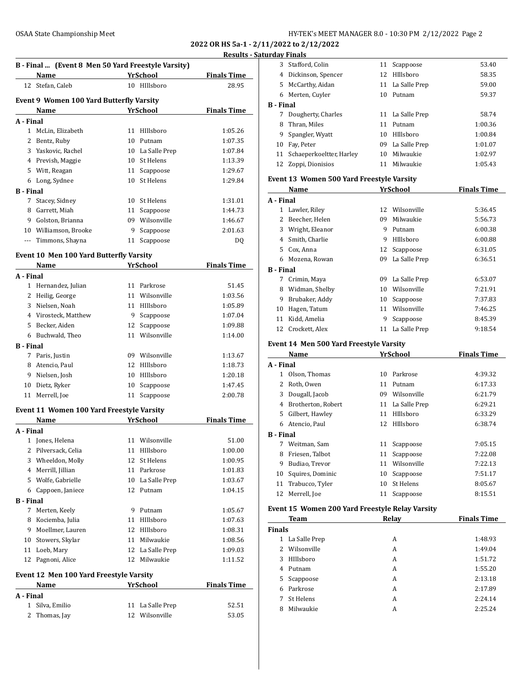**2022 OR HS 5a-1 - 2/11/2022 to 2/12/2022 Results - Satur** 

|                   | B - Final  (Event 8 Men 50 Yard Freestyle Varsity)<br>Name |          | <b>YrSchool</b>              | <b>Finals Time</b> |
|-------------------|------------------------------------------------------------|----------|------------------------------|--------------------|
| 12                | Stefan, Caleb                                              |          | 10 HIllsboro                 | 28.95              |
|                   |                                                            |          |                              |                    |
|                   | <b>Event 9 Women 100 Yard Butterfly Varsity</b>            |          |                              |                    |
|                   | Name                                                       |          | <b>YrSchool</b>              | <b>Finals Time</b> |
| A - Final         |                                                            |          |                              |                    |
|                   | 1 McLin, Elizabeth                                         |          | 11 HIllsboro                 | 1:05.26            |
|                   | 2 Bentz, Ruby                                              | 10       | Putnam                       | 1:07.35            |
|                   | 3 Yaskovic, Rachel                                         |          | 10 La Salle Prep             | 1:07.84            |
|                   | 4 Prevish, Maggie                                          |          | 10 St Helens                 | 1:13.39            |
|                   | 5 Witt, Reagan                                             | 11       | Scappoose                    | 1:29.67            |
| 6                 | Long, Sydnee                                               | 10       | St Helens                    | 1:29.84            |
| <b>B</b> - Final  |                                                            |          |                              |                    |
| 7                 | Stacey, Sidney                                             | 10       | St Helens                    | 1:31.01            |
| 8                 | Garrett, Miah                                              |          | 11 Scappoose                 | 1:44.73            |
|                   | 9 Golston, Brianna                                         |          | 09 Wilsonville               | 1:46.67            |
|                   | 10 Williamson, Brooke                                      | 9        | Scappoose                    | 2:01.63            |
|                   | --- Timmons, Shayna                                        | 11       | Scappoose                    | DQ                 |
|                   | Event 10 Men 100 Yard Butterfly Varsity                    |          |                              |                    |
|                   | Name                                                       |          | <b>YrSchool</b>              | <b>Finals Time</b> |
| A - Final         |                                                            |          |                              |                    |
|                   | 1 Hernandez, Julian                                        |          | 11 Parkrose                  | 51.45              |
|                   | 2 Heilig, George                                           |          | 11 Wilsonville               | 1:03.56            |
|                   | 3 Nielsen, Noah                                            |          | 11 HIllsboro                 | 1:05.89            |
|                   | 4 Virosteck, Matthew                                       | 9        | Scappoose                    | 1:07.04            |
| 5                 | Becker, Aiden                                              | 12       | Scappoose                    | 1:09.88            |
|                   | 6 Buchwald, Theo                                           | 11       | Wilsonville                  | 1:14.00            |
| <b>B</b> - Final  |                                                            |          |                              |                    |
|                   | 7 Paris, Justin                                            |          | 09 Wilsonville               | 1:13.67            |
| 8                 | Atencio, Paul                                              |          | 12 HIllsboro                 | 1:18.73            |
|                   | 9 Nielsen, Josh                                            |          | 10 HIllsboro                 | 1:20.18            |
|                   | 10 Dietz, Ryker                                            | 10       | Scappoose                    | 1:47.45            |
| 11                | Merrell, Joe                                               | 11       | Scappoose                    | 2:00.78            |
|                   | Event 11 Women 100 Yard Freestyle Varsity                  |          |                              |                    |
|                   | Name                                                       |          | YrSchool                     | <b>Finals Time</b> |
| A - Final         |                                                            |          |                              |                    |
|                   | 1 Jones, Helena                                            |          | 11 Wilsonville               | 51.00              |
| 2                 | Pilversack, Celia                                          | 11       | HIllsboro                    | 1:00.00            |
| 3                 | Wheeldon, Molly                                            | 12       | St Helens                    | 1:00.95            |
|                   | 4 Merrill, Jillian                                         | 11       | Parkrose                     | 1:01.83            |
|                   | 5 Wolfe, Gabrielle                                         | 10       | La Salle Prep                | 1:03.67            |
|                   | 6 Cappoen, Janiece                                         | 12       | Putnam                       | 1:04.15            |
| <b>B</b> - Final  |                                                            |          |                              |                    |
| 7                 | Merten, Keely                                              |          | 9 Putnam                     | 1:05.67            |
| 8                 | Kociemba, Julia                                            |          | 11 HIllsboro                 | 1:07.63            |
| 9                 | Moellmer, Lauren                                           |          | 12 HIllsboro                 | 1:08.31            |
| 10                | Stowers, Skylar                                            |          | 11 Milwaukie                 | 1:08.56            |
| 11                | Loeb, Mary                                                 |          | 12 La Salle Prep             | 1:09.03            |
| 12                | Pagnoni, Alice                                             | 12       | Milwaukie                    | 1:11.52            |
|                   |                                                            |          |                              |                    |
|                   | <b>Event 12 Men 100 Yard Freestyle Varsity</b><br>Name     |          | YrSchool                     | <b>Finals Time</b> |
| A - Final         |                                                            |          |                              |                    |
|                   |                                                            |          |                              |                    |
|                   |                                                            |          |                              |                    |
| $\mathbf{1}$<br>2 | Silva, Emilio<br>Thomas, Jay                               | 11<br>12 | La Salle Prep<br>Wilsonville | 52.51<br>53.05     |

|                  | urday Finals                                    |    |                  |                    |
|------------------|-------------------------------------------------|----|------------------|--------------------|
|                  | 3 Stafford, Colin                               |    | 11 Scappoose     | 53.40              |
|                  | 4 Dickinson, Spencer                            |    | 12 Hillsboro     | 58.35              |
|                  | 5 McCarthy, Aidan                               |    | 11 La Salle Prep | 59.00              |
|                  | 6 Merten, Cuyler                                |    | 10 Putnam        | 59.37              |
| <b>B</b> - Final |                                                 |    |                  |                    |
|                  | 7 Dougherty, Charles                            |    | 11 La Salle Prep | 58.74              |
|                  | 8 Thran, Miles                                  |    | 11 Putnam        | 1:00.36            |
|                  | 9 Spangler, Wyatt                               |    | 10 HIllsboro     | 1:00.84            |
|                  | 10 Fay, Peter                                   |    | 09 La Salle Prep | 1:01.07            |
|                  | 11 Schaeperkoeltter, Harley                     |    | 10 Milwaukie     | 1:02.97            |
|                  | 12 Zoppi, Dionisios                             |    | 11 Milwaukie     | 1:05.43            |
|                  | Event 13 Women 500 Yard Freestyle Varsity       |    |                  |                    |
|                  | Name                                            |    | <b>YrSchool</b>  | <b>Finals Time</b> |
| A - Final        |                                                 |    |                  |                    |
|                  | 1 Lawler, Riley                                 |    | 12 Wilsonville   | 5:36.45            |
|                  | 2 Beecher, Helen                                |    | 09 Milwaukie     | 5:56.73            |
|                  | 3 Wright, Eleanor                               |    | 9 Putnam         | 6:00.38            |
|                  | 4 Smith, Charlie                                |    | 9 HIllsboro      | 6:00.88            |
|                  | 5 Cox, Anna                                     |    | 12 Scappoose     | 6:31.05            |
|                  | 6 Mozena, Rowan                                 |    | 09 La Salle Prep | 6:36.51            |
| <b>B</b> - Final |                                                 |    |                  |                    |
|                  | 7 Crimin, Maya                                  |    | 09 La Salle Prep | 6:53.07            |
|                  | 8 Widman, Shelby                                |    | 10 Wilsonville   | 7:21.91            |
|                  | 9 Brubaker, Addy                                |    | 10 Scappoose     | 7:37.83            |
|                  | 10 Hagen, Tatum                                 |    | 11 Wilsonville   | 7:46.25            |
|                  | 11 Kidd, Amelia                                 | 9  | Scappoose        | 8:45.39            |
|                  | 12 Crockett, Alex                               |    | 11 La Salle Prep | 9:18.54            |
|                  | Event 14 Men 500 Yard Freestyle Varsity         |    |                  |                    |
|                  | Name                                            |    | YrSchool         | <b>Finals Time</b> |
| A - Final        |                                                 |    |                  |                    |
|                  | 1 Olson, Thomas                                 |    | 10 Parkrose      | 4:39.32            |
|                  | 2 Roth, Owen                                    |    | 11 Putnam        | 6:17.33            |
|                  | 3 Dougall, Jacob                                |    | 09 Wilsonville   | 6:21.79            |
|                  | 4 Brotherton, Robert                            |    | 11 La Salle Prep | 6:29.21            |
|                  | 5 Gilbert, Hawley                               |    | 11 HIllsboro     | 6:33.29            |
|                  | 6 Atencio, Paul                                 |    | 12 HIllsboro     | 6:38.74            |
| <b>B</b> - Final |                                                 |    |                  |                    |
| 7                | Weitman, Sam                                    | 11 | Scappoose        | 7:05.15            |
| 8                | Friesen, Talbot                                 | 11 | Scappoose        | 7:22.08            |
| 9                | Budiao, Trevor                                  | 11 | Wilsonville      | 7:22.13            |
| 10               | Squires, Dominic                                | 10 | Scappoose        | 7:51.17            |
| 11               | Trabucco, Tyler                                 | 10 | St Helens        | 8:05.67            |
| 12               | Merrell, Joe                                    | 11 | Scappoose        | 8:15.51            |
|                  | Event 15 Women 200 Yard Freestyle Relay Varsity |    |                  |                    |
|                  | Team                                            |    | Relay            | <b>Finals Time</b> |
| <b>Finals</b>    |                                                 |    |                  |                    |
|                  | 1 La Salle Prep                                 |    | A                | 1:48.93            |
| 2                | Wilsonville                                     |    | A                | 1:49.04            |
|                  | 3 HIllsboro                                     |    | A                | 1:51.72            |
|                  | 4 Putnam                                        |    | A                | 1:55.20            |
| 5                | Scappoose                                       |    | A                | 2:13.18            |
|                  | 6 Parkrose                                      |    | A                | 2:17.89            |

7 St Helens **A** 2:24.14 Milwaukie A 2:25.24